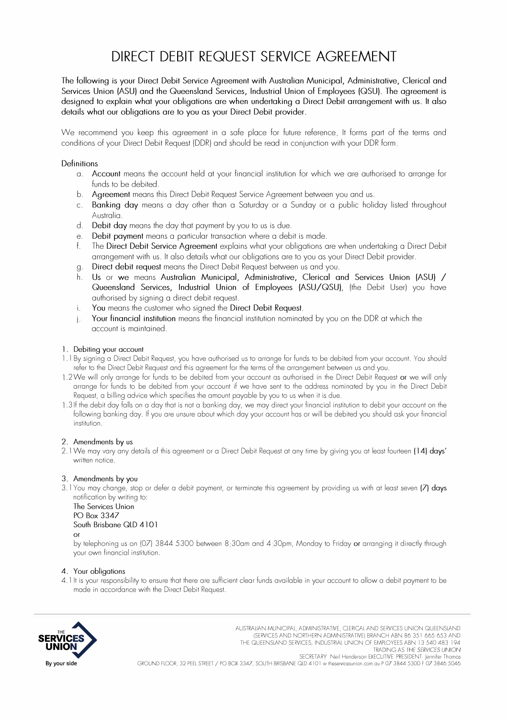# **DIRECT DEBIT REQUEST SERVICE AGREEMENT**

The following is your Direct Debit Service Agreement with Australian Municipal, Administrative, Clerical and Services Union (ASU) and the Queensland Services, Industrial Union of Employees (QSU). The agreement is designed to explain what your obligations are when undertaking a Direct Debit arrangement with us. It also details what our obligations are to you as your Direct Debit provider.

We recommend you keep this agreement in a safe place for future reference It forms part of the terms and conditions of your Direct Debit Request (DDR) and should be read in conjunction with your DDR form

## Definitions

- a. Account means the account held at your financial institution for which we are authorised to arrange for funds to be debited.
- b. Agreement means this Direct Debit Request Service Agreement between you and us.
- c. Banking day means a day other than a Saturday or a Sunday or a public holiday listed throughout Australia.
- 
- d. Debit day means the day that payment by you to us is due.<br>e. Debit payment means a particular transaction where a deb e. Debit payment means a particular transaction where a debit is made.<br>f. The Direct Debit Service Agreement explains what your obligations a
- f. The Direct Debit Service Agreement explains what your obligations are when undertaking a Direct Debit arrangement with us. It also details what our obligations are to you as your Direct Debit provider.
- g. Direct debit request means the Direct Debit Request between us and you.
- h. Us or we means Australian Municipal, Administrative, Clerical and Services Union (ASU) / Queensland Services, Industrial Union of Employees (ASU/QSU), (the Debit User) you have authorised by signing a direct debit request.
- i. You means the customer who signed the Direct Debit Request.
- j. Your financial institution means the financial institution nominated by you on the DDR at which the account is maintained.

#### l. Debiting your account

- l. l By signing a Direct Debit Request, you have authorised us to arrange for funds to be debited from your account. You should refer to the Direct Debit Request and this agreement for the terms of the arrangement between us and you .
- 1.2We will only arrange for funds to be debited from your account as authorised in the Direct Debit Request or we will only arrange for funds to be debited from your account if we have sent to the address nominated by you in the Direct Debit Request, a billing advice which specifies the amount payable by you to us when it is due .
- 1.3If the debit day falls on a day that is not a banking day, we may direct your financial institution to debit your account on the following banking day. If you are unsure about which day your account has or will be debited you should ask your financial institution.

## 2. Amendments by us

2.1 We may vary any details of this agreement or a Direct Debit Request at any time by giving you at least fourteen (14) da<sup>y</sup> s' written notice.

## 3. Amendments by you

3. l You may change, stop or defer a debit payment, or terminate this agreement by providing us with at least seven (7) days notification by writing to:

The Services Union PO Box 3347 South Brisbane QLD 410 l or

by telephoning us on (07) 3844 5300 between 8 30am and 4 30pm, Monday to Friday or arranging it directly through your own financial institution.

## 4. Your obligations

4. l It is your responsibility to ensure that there are sufficient clear funds available in your account to allow a debit payment to be made in accordance with the Direct Debit Request.